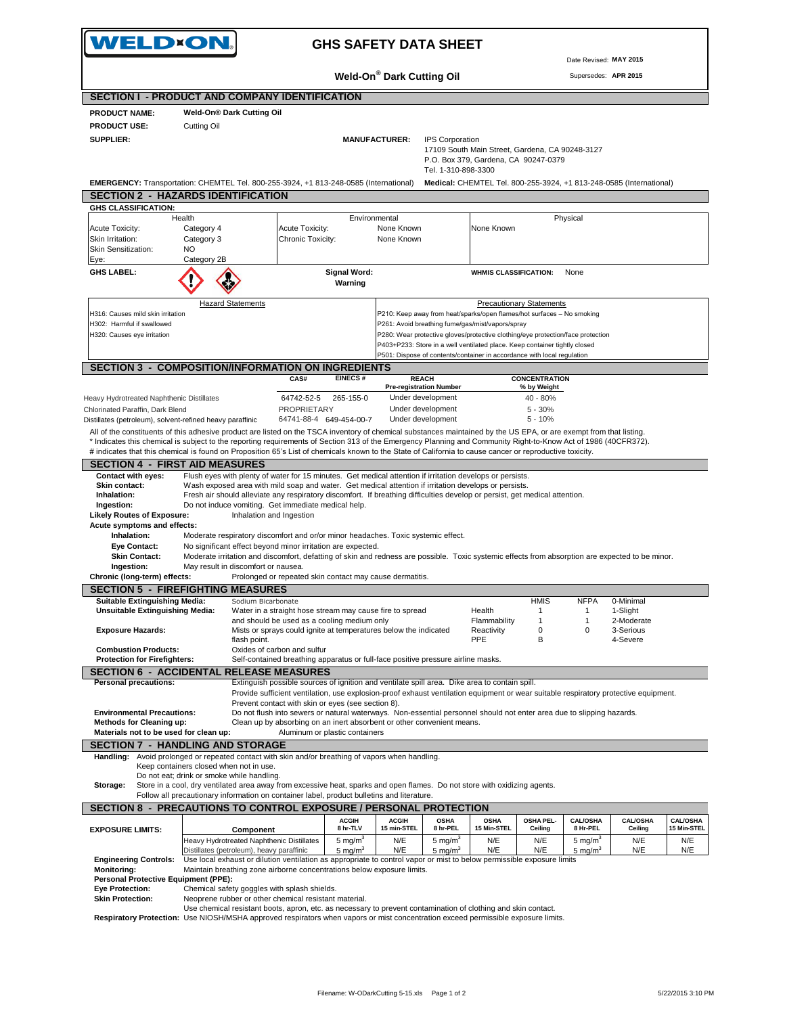| WELD×ON.                                                                                                                                                                                                                                                                                                                               |                                           |                                                                                                                                                                                                                                      |                                 |                                                |                                 |                                                                                                                                                       |                                     |                                 |                                                                     |                    |
|----------------------------------------------------------------------------------------------------------------------------------------------------------------------------------------------------------------------------------------------------------------------------------------------------------------------------------------|-------------------------------------------|--------------------------------------------------------------------------------------------------------------------------------------------------------------------------------------------------------------------------------------|---------------------------------|------------------------------------------------|---------------------------------|-------------------------------------------------------------------------------------------------------------------------------------------------------|-------------------------------------|---------------------------------|---------------------------------------------------------------------|--------------------|
|                                                                                                                                                                                                                                                                                                                                        |                                           |                                                                                                                                                                                                                                      |                                 |                                                |                                 |                                                                                                                                                       |                                     | Date Revised: MAY 2015          |                                                                     |                    |
|                                                                                                                                                                                                                                                                                                                                        |                                           |                                                                                                                                                                                                                                      |                                 | Weld-On® Dark Cutting Oil                      |                                 |                                                                                                                                                       |                                     | Supersedes: APR 2015            |                                                                     |                    |
| <b>SECTION I - PRODUCT AND COMPANY IDENTIFICATION</b>                                                                                                                                                                                                                                                                                  |                                           |                                                                                                                                                                                                                                      |                                 |                                                |                                 |                                                                                                                                                       |                                     |                                 |                                                                     |                    |
| <b>PRODUCT NAME:</b>                                                                                                                                                                                                                                                                                                                   | Weld-On® Dark Cutting Oil                 |                                                                                                                                                                                                                                      |                                 |                                                |                                 |                                                                                                                                                       |                                     |                                 |                                                                     |                    |
| <b>PRODUCT USE:</b><br><b>SUPPLIER:</b>                                                                                                                                                                                                                                                                                                | Cutting Oil                               |                                                                                                                                                                                                                                      |                                 | <b>MANUFACTURER:</b>                           | <b>IPS Corporation</b>          | 17109 South Main Street, Gardena, CA 90248-3127                                                                                                       |                                     |                                 |                                                                     |                    |
|                                                                                                                                                                                                                                                                                                                                        |                                           |                                                                                                                                                                                                                                      |                                 |                                                | Tel. 1-310-898-3300             | P.O. Box 379, Gardena, CA 90247-0379                                                                                                                  |                                     |                                 |                                                                     |                    |
| EMERGENCY: Transportation: CHEMTEL Tel. 800-255-3924, +1 813-248-0585 (International)<br><b>SECTION 2 - HAZARDS IDENTIFICATION</b>                                                                                                                                                                                                     |                                           |                                                                                                                                                                                                                                      |                                 |                                                |                                 |                                                                                                                                                       |                                     |                                 | Medical: CHEMTEL Tel. 800-255-3924, +1 813-248-0585 (International) |                    |
| <b>GHS CLASSIFICATION:</b>                                                                                                                                                                                                                                                                                                             |                                           |                                                                                                                                                                                                                                      |                                 |                                                |                                 |                                                                                                                                                       |                                     |                                 |                                                                     |                    |
| Health<br>Acute Toxicity:                                                                                                                                                                                                                                                                                                              | Category 4                                | Acute Toxicity:                                                                                                                                                                                                                      | Environmental                   | None Known                                     |                                 | None Known                                                                                                                                            |                                     | Physical                        |                                                                     |                    |
| Skin Irritation:<br>Skin Sensitization:                                                                                                                                                                                                                                                                                                | Category 3<br>NO.                         | Chronic Toxicity:                                                                                                                                                                                                                    |                                 | None Known                                     |                                 |                                                                                                                                                       |                                     |                                 |                                                                     |                    |
| Eye:<br><b>GHS LABEL:</b>                                                                                                                                                                                                                                                                                                              | Category 2B                               |                                                                                                                                                                                                                                      |                                 |                                                |                                 |                                                                                                                                                       |                                     |                                 |                                                                     |                    |
|                                                                                                                                                                                                                                                                                                                                        |                                           |                                                                                                                                                                                                                                      | <b>Signal Word:</b><br>Warning  |                                                |                                 | <b>WHMIS CLASSIFICATION:</b>                                                                                                                          |                                     | None                            |                                                                     |                    |
|                                                                                                                                                                                                                                                                                                                                        | <b>Hazard Statements</b>                  |                                                                                                                                                                                                                                      |                                 |                                                |                                 |                                                                                                                                                       | <b>Precautionary Statements</b>     |                                 |                                                                     |                    |
| H316: Causes mild skin irritation<br>H302: Harmful if swallowed                                                                                                                                                                                                                                                                        |                                           |                                                                                                                                                                                                                                      |                                 |                                                |                                 | P210: Keep away from heat/sparks/open flames/hot surfaces - No smoking<br>P261: Avoid breathing fume/gas/mist/vapors/spray                            |                                     |                                 |                                                                     |                    |
| H320: Causes eye irritation                                                                                                                                                                                                                                                                                                            |                                           |                                                                                                                                                                                                                                      |                                 |                                                |                                 | P280: Wear protective gloves/protective clothing/eye protection/face protection                                                                       |                                     |                                 |                                                                     |                    |
|                                                                                                                                                                                                                                                                                                                                        |                                           |                                                                                                                                                                                                                                      |                                 |                                                |                                 | P403+P233: Store in a well ventilated place. Keep container tightly closed<br>P501: Dispose of contents/container in accordance with local regulation |                                     |                                 |                                                                     |                    |
| <b>SECTION 3 - COMPOSITION/INFORMATION ON INGREDIENTS</b>                                                                                                                                                                                                                                                                              |                                           |                                                                                                                                                                                                                                      |                                 |                                                |                                 |                                                                                                                                                       |                                     |                                 |                                                                     |                    |
|                                                                                                                                                                                                                                                                                                                                        |                                           | CAS#                                                                                                                                                                                                                                 | <b>EINECS#</b>                  | <b>REACH</b><br><b>Pre-registration Number</b> |                                 |                                                                                                                                                       | <b>CONCENTRATION</b><br>% by Weight |                                 |                                                                     |                    |
| Heavy Hydrotreated Naphthenic Distillates                                                                                                                                                                                                                                                                                              |                                           | 64742-52-5                                                                                                                                                                                                                           | 265-155-0                       | Under development                              |                                 |                                                                                                                                                       | 40 - 80%                            |                                 |                                                                     |                    |
| Chlorinated Paraffin, Dark Blend                                                                                                                                                                                                                                                                                                       |                                           | <b>PROPRIETARY</b>                                                                                                                                                                                                                   |                                 | Under development                              |                                 |                                                                                                                                                       | $5 - 30%$                           |                                 |                                                                     |                    |
| Distillates (petroleum), solvent-refined heavy paraffinic                                                                                                                                                                                                                                                                              |                                           |                                                                                                                                                                                                                                      | 64741-88-4 649-454-00-7         | Under development                              |                                 |                                                                                                                                                       | $5 - 10%$                           |                                 |                                                                     |                    |
| All of the constituents of this adhesive product are listed on the TSCA inventory of chemical substances maintained by the US EPA, or are exempt from that listing.<br>* Indicates this chemical is subject to the reporting requirements of Section 313 of the Emergency Planning and Community Right-to-Know Act of 1986 (40CFR372). |                                           |                                                                                                                                                                                                                                      |                                 |                                                |                                 |                                                                                                                                                       |                                     |                                 |                                                                     |                    |
|                                                                                                                                                                                                                                                                                                                                        |                                           |                                                                                                                                                                                                                                      |                                 |                                                |                                 |                                                                                                                                                       |                                     |                                 |                                                                     |                    |
|                                                                                                                                                                                                                                                                                                                                        |                                           | # indicates that this chemical is found on Proposition 65's List of chemicals known to the State of California to cause cancer or reproductive toxicity.                                                                             |                                 |                                                |                                 |                                                                                                                                                       |                                     |                                 |                                                                     |                    |
| <b>SECTION 4 - FIRST AID MEASURES</b>                                                                                                                                                                                                                                                                                                  |                                           |                                                                                                                                                                                                                                      |                                 |                                                |                                 |                                                                                                                                                       |                                     |                                 |                                                                     |                    |
| <b>Contact with eyes:</b>                                                                                                                                                                                                                                                                                                              |                                           | Flush eyes with plenty of water for 15 minutes. Get medical attention if irritation develops or persists.                                                                                                                            |                                 |                                                |                                 |                                                                                                                                                       |                                     |                                 |                                                                     |                    |
| Skin contact:<br>Inhalation:                                                                                                                                                                                                                                                                                                           |                                           | Wash exposed area with mild soap and water. Get medical attention if irritation develops or persists.<br>Fresh air should alleviate any respiratory discomfort. If breathing difficulties develop or persist, get medical attention. |                                 |                                                |                                 |                                                                                                                                                       |                                     |                                 |                                                                     |                    |
| Ingestion:                                                                                                                                                                                                                                                                                                                             |                                           | Do not induce vomiting. Get immediate medical help.                                                                                                                                                                                  |                                 |                                                |                                 |                                                                                                                                                       |                                     |                                 |                                                                     |                    |
| <b>Likely Routes of Exposure:</b><br>Acute symptoms and effects:                                                                                                                                                                                                                                                                       |                                           | Inhalation and Ingestion                                                                                                                                                                                                             |                                 |                                                |                                 |                                                                                                                                                       |                                     |                                 |                                                                     |                    |
| Inhalation:                                                                                                                                                                                                                                                                                                                            |                                           | Moderate respiratory discomfort and or/or minor headaches. Toxic systemic effect.                                                                                                                                                    |                                 |                                                |                                 |                                                                                                                                                       |                                     |                                 |                                                                     |                    |
| <b>Eye Contact:</b>                                                                                                                                                                                                                                                                                                                    |                                           | No significant effect beyond minor irritation are expected.                                                                                                                                                                          |                                 |                                                |                                 |                                                                                                                                                       |                                     |                                 |                                                                     |                    |
| <b>Skin Contact:</b><br>Ingestion:                                                                                                                                                                                                                                                                                                     |                                           | Moderate irritation and discomfort, defatting of skin and redness are possible. Toxic systemic effects from absorption are expected to be minor.<br>May result in discomfort or nausea.                                              |                                 |                                                |                                 |                                                                                                                                                       |                                     |                                 |                                                                     |                    |
| Chronic (long-term) effects:                                                                                                                                                                                                                                                                                                           |                                           | Prolonged or repeated skin contact may cause dermatitis.                                                                                                                                                                             |                                 |                                                |                                 |                                                                                                                                                       |                                     |                                 |                                                                     |                    |
| <b>SECTION 5 - FIREFIGHTING MEASURES</b>                                                                                                                                                                                                                                                                                               |                                           |                                                                                                                                                                                                                                      |                                 |                                                |                                 |                                                                                                                                                       |                                     |                                 |                                                                     |                    |
| Suitable Extinguishing Media:<br>Unsuitable Extinguishing Media:                                                                                                                                                                                                                                                                       |                                           | Sodium Bicarbonate<br>Water in a straight hose stream may cause fire to spread                                                                                                                                                       |                                 |                                                |                                 | Health                                                                                                                                                | HMIS<br>$\mathbf{1}$                | <b>NFPA</b><br>$\mathbf{1}$     | 0-Minimal                                                           |                    |
|                                                                                                                                                                                                                                                                                                                                        |                                           | and should be used as a cooling medium only                                                                                                                                                                                          |                                 |                                                |                                 | Flammability                                                                                                                                          | $\mathbf{1}$                        | $\mathbf{1}$                    | 1-Slight<br>2-Moderate                                              |                    |
| <b>Exposure Hazards:</b>                                                                                                                                                                                                                                                                                                               |                                           | Mists or sprays could ignite at temperatures below the indicated<br>flash point.                                                                                                                                                     |                                 |                                                |                                 | Reactivity<br><b>PPE</b>                                                                                                                              | $\mathbf 0$<br>B                    | 0                               | 3-Serious<br>4-Severe                                               |                    |
| <b>Combustion Products:</b>                                                                                                                                                                                                                                                                                                            |                                           | Oxides of carbon and sulfur                                                                                                                                                                                                          |                                 |                                                |                                 |                                                                                                                                                       |                                     |                                 |                                                                     |                    |
| <b>Protection for Firefighters:</b>                                                                                                                                                                                                                                                                                                    |                                           | Self-contained breathing apparatus or full-face positive pressure airline masks.                                                                                                                                                     |                                 |                                                |                                 |                                                                                                                                                       |                                     |                                 |                                                                     |                    |
| <b>SECTION 6 - ACCIDENTAL RELEASE MEASURES</b><br><b>Personal precautions:</b>                                                                                                                                                                                                                                                         |                                           | Extinguish possible sources of ignition and ventilate spill area. Dike area to contain spill.                                                                                                                                        |                                 |                                                |                                 |                                                                                                                                                       |                                     |                                 |                                                                     |                    |
|                                                                                                                                                                                                                                                                                                                                        |                                           | Provide sufficient ventilation, use explosion-proof exhaust ventilation equipment or wear suitable respiratory protective equipment.                                                                                                 |                                 |                                                |                                 |                                                                                                                                                       |                                     |                                 |                                                                     |                    |
|                                                                                                                                                                                                                                                                                                                                        |                                           | Prevent contact with skin or eyes (see section 8).                                                                                                                                                                                   |                                 |                                                |                                 |                                                                                                                                                       |                                     |                                 |                                                                     |                    |
| <b>Environmental Precautions:</b><br><b>Methods for Cleaning up:</b>                                                                                                                                                                                                                                                                   |                                           | Do not flush into sewers or natural waterways. Non-essential personnel should not enter area due to slipping hazards.<br>Clean up by absorbing on an inert absorbent or other convenient means.                                      |                                 |                                                |                                 |                                                                                                                                                       |                                     |                                 |                                                                     |                    |
| Materials not to be used for clean up:                                                                                                                                                                                                                                                                                                 |                                           |                                                                                                                                                                                                                                      | Aluminum or plastic containers  |                                                |                                 |                                                                                                                                                       |                                     |                                 |                                                                     |                    |
| <b>SECTION 7 - HANDLING AND STORAGE</b>                                                                                                                                                                                                                                                                                                |                                           |                                                                                                                                                                                                                                      |                                 |                                                |                                 |                                                                                                                                                       |                                     |                                 |                                                                     |                    |
| Handling: Avoid prolonged or repeated contact with skin and/or breathing of vapors when handling.                                                                                                                                                                                                                                      | Keep containers closed when not in use.   |                                                                                                                                                                                                                                      |                                 |                                                |                                 |                                                                                                                                                       |                                     |                                 |                                                                     |                    |
|                                                                                                                                                                                                                                                                                                                                        | Do not eat; drink or smoke while handling |                                                                                                                                                                                                                                      |                                 |                                                |                                 |                                                                                                                                                       |                                     |                                 |                                                                     |                    |
| Storage:                                                                                                                                                                                                                                                                                                                               |                                           | Store in a cool, dry ventilated area away from excessive heat, sparks and open flames. Do not store with oxidizing agents.<br>Follow all precautionary information on container label, product bulletins and literature.             |                                 |                                                |                                 |                                                                                                                                                       |                                     |                                 |                                                                     |                    |
| SECTION 8 - PRECAUTIONS TO CONTROL EXPOSURE / PERSONAL PROTECTION                                                                                                                                                                                                                                                                      |                                           |                                                                                                                                                                                                                                      |                                 |                                                |                                 |                                                                                                                                                       |                                     |                                 |                                                                     |                    |
|                                                                                                                                                                                                                                                                                                                                        |                                           |                                                                                                                                                                                                                                      | <b>ACGIH</b>                    | <b>ACGIH</b>                                   | <b>OSHA</b>                     | <b>OSHA</b>                                                                                                                                           | OSHA PEL-                           | <b>CAL/OSHA</b>                 | <b>CAL/OSHA</b>                                                     | <b>CAL/OSHA</b>    |
| <b>EXPOSURE LIMITS:</b>                                                                                                                                                                                                                                                                                                                |                                           | Component                                                                                                                                                                                                                            | 8 hr-TLV<br>5 mg/m <sup>3</sup> | 15 min-STEL<br>N/E                             | 8 hr-PEL<br>5 mg/m <sup>3</sup> | 15 Min-STEL<br>N/E                                                                                                                                    | Ceiling<br>N/E                      | 8 Hr-PEL<br>5 mg/m <sup>3</sup> | Ceiling<br>N/E                                                      | 15 Min-STEL<br>N/E |
|                                                                                                                                                                                                                                                                                                                                        |                                           | Heavy Hydrotreated Naphthenic Distillates<br>Distillates (petroleum), heavy paraffinic                                                                                                                                               | 5 mg/m <sup>3</sup>             | N/E                                            | 5 mg/m <sup>3</sup>             | N/E                                                                                                                                                   | N/E                                 | 5 mg/m <sup>3</sup>             | N/E                                                                 | N/E                |
| <b>Engineering Controls:</b>                                                                                                                                                                                                                                                                                                           |                                           | Use local exhaust or dilution ventilation as appropriate to control vapor or mist to below permissible exposure limits                                                                                                               |                                 |                                                |                                 |                                                                                                                                                       |                                     |                                 |                                                                     |                    |
| <b>Monitoring:</b><br>Personal Protective Equipment (PPE):                                                                                                                                                                                                                                                                             |                                           | Maintain breathing zone airborne concentrations below exposure limits.                                                                                                                                                               |                                 |                                                |                                 |                                                                                                                                                       |                                     |                                 |                                                                     |                    |
| <b>Eye Protection:</b>                                                                                                                                                                                                                                                                                                                 |                                           | Chemical safety goggles with splash shields.                                                                                                                                                                                         |                                 |                                                |                                 |                                                                                                                                                       |                                     |                                 |                                                                     |                    |
| <b>Skin Protection:</b>                                                                                                                                                                                                                                                                                                                |                                           | Neoprene rubber or other chemical resistant material.<br>Use chemical resistant boots, apron, etc. as necessary to prevent contamination of clothing and skin contact.                                                               |                                 |                                                |                                 |                                                                                                                                                       |                                     |                                 |                                                                     |                    |